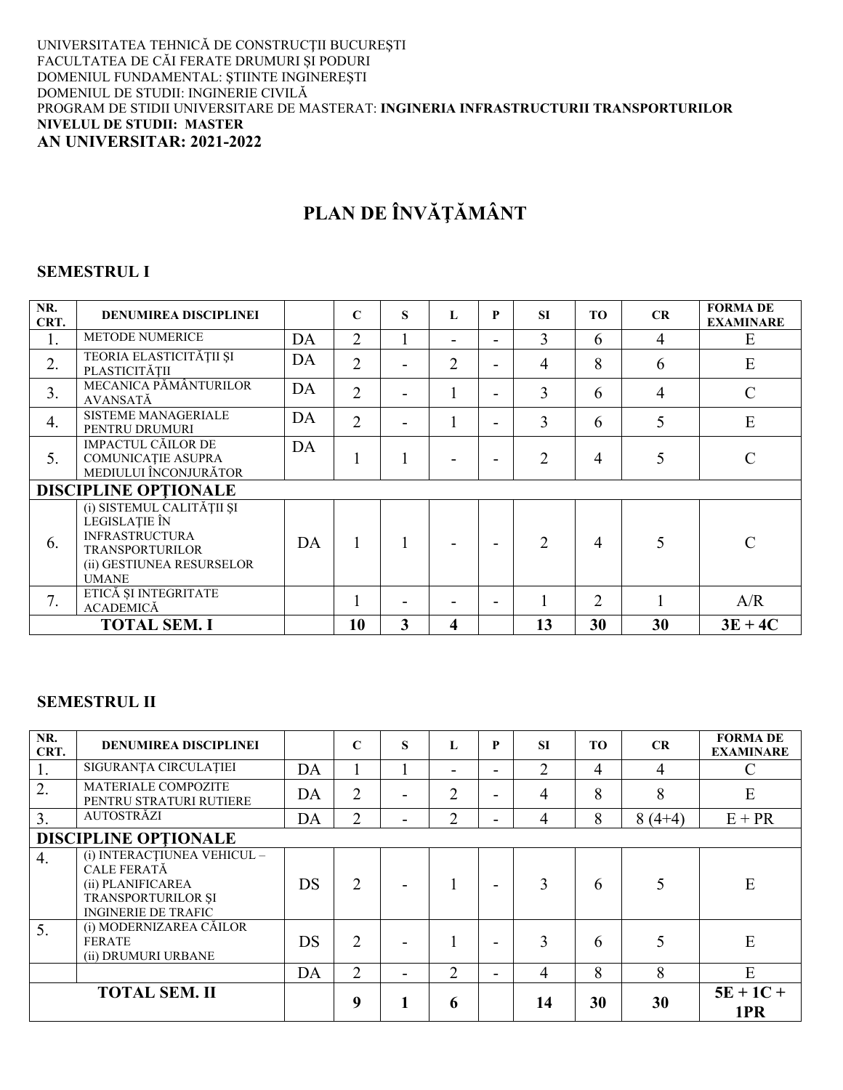#### UNIVERSITATEA TEHNICĂ DE CONSTRUCȚII BUCUREȘTI FACULTATEA DE CĂI FERATE DRUMURI ȘI PODURI<br>DOMENIUL FUNDAMENTAL: ȘTIINTE INGINEREȘTI DOMENIUL DE STUDII: INGINERIE CIVILĂ PROGRAM DE STIDII UNIVERSITARE DE MASTERAT: INGINERIA INFRASTRUCTURII TRANSPORTURILOR **NIVELUL DE STUDII: MASTER** AN UNIVERSITAR: 2021-2022

# PLAN DE ÎNVĂȚĂMÂNT

#### **SEMESTRUL I**

| NR.<br>CRT.      | <b>DENUMIREA DISCIPLINEI</b>                                                                                                               |    | C              | S            | L              | P                        | <b>SI</b>      | TO             | CR | <b>FORMA DE</b><br><b>EXAMINARE</b> |
|------------------|--------------------------------------------------------------------------------------------------------------------------------------------|----|----------------|--------------|----------------|--------------------------|----------------|----------------|----|-------------------------------------|
| 1.               | <b>METODE NUMERICE</b>                                                                                                                     | DA | $\overline{2}$ | $\bf{l}$     |                | $\overline{\phantom{a}}$ | 3              | 6              | 4  | E                                   |
| 2.               | TEORIA ELASTICITĂȚII ȘI<br>PLASTICITĂȚII                                                                                                   | DA | $\overline{2}$ | -            | $\overline{2}$ | -                        | 4              | 8              | 6  | E                                   |
| 3.               | MECANICA PĂMÂNTURILOR<br><b>AVANSATĂ</b>                                                                                                   | DA | $\overline{2}$ |              |                |                          | 3              | 6              | 4  | $\mathcal{C}$                       |
| $\overline{4}$ . | <b>SISTEME MANAGERIALE</b><br>PENTRU DRUMURI                                                                                               | DA | $\overline{2}$ |              |                |                          | 3              | 6              | 5  | E                                   |
| 5.               | <b>IMPACTUL CĂILOR DE</b><br>COMUNICAȚIE ASUPRA<br>MEDIULUI ÎNCONJURĂTOR                                                                   | DA |                |              |                |                          | $\overline{2}$ | 4              |    | $\mathcal{C}$                       |
|                  | <b>DISCIPLINE OPTIONALE</b>                                                                                                                |    |                |              |                |                          |                |                |    |                                     |
| 6.               | (i) SISTEMUL CALITĂȚII ȘI<br>LEGISLATIE ÎN<br><b>INFRASTRUCTURA</b><br><b>TRANSPORTURILOR</b><br>(ii) GESTIUNEA RESURSELOR<br><b>UMANE</b> | DA |                |              |                |                          | $\mathcal{D}$  | 4              | 5  | $\mathcal{C}$                       |
| 7.               | ETICĂ ȘI INTEGRITATE<br><b>ACADEMICĂ</b>                                                                                                   |    |                |              |                |                          |                | $\overline{2}$ |    | A/R                                 |
|                  | <b>TOTAL SEM. I</b>                                                                                                                        |    | 10             | $\mathbf{3}$ | 4              |                          | 13             | 30             | 30 | $3E + 4C$                           |

#### **SEMESTRUL II**

| NR.<br>CRT.      | <b>DENUMIREA DISCIPLINEI</b>                                                                                               |    | $\mathbf C$    | S | L  | P | <b>SI</b> | TO. | CR       | <b>FORMA DE</b><br><b>EXAMINARE</b> |
|------------------|----------------------------------------------------------------------------------------------------------------------------|----|----------------|---|----|---|-----------|-----|----------|-------------------------------------|
| 1.               | SIGURANȚA CIRCULAȚIEI                                                                                                      | DA |                |   | -  | ۰ | 2         | 4   | 4        | $\mathcal{C}$                       |
| 2.               | <b>MATERIALE COMPOZITE</b><br>PENTRU STRATURI RUTIERE                                                                      | DA | $\overline{2}$ |   | C  | - | 4         | 8   | 8        | E                                   |
| $\overline{3}$ . | <b>AUTOSTRĂZI</b>                                                                                                          | DA | $\overline{2}$ |   | C. | - | 4         | 8   | $8(4+4)$ | $E + PR$                            |
|                  | <b>DISCIPLINE OPTIONALE</b>                                                                                                |    |                |   |    |   |           |     |          |                                     |
| 4.               | (i) INTERACTIUNEA VEHICUL -<br><b>CALE FERATĂ</b><br>(ii) PLANIFICAREA<br>TRANSPORTURILOR ȘI<br><b>INGINERIE DE TRAFIC</b> | DS | $\overline{2}$ |   |    |   | 3         | 6   |          | E                                   |
| 5.               | (i) MODERNIZAREA CĂILOR<br><b>FERATE</b><br>(ii) DRUMURI URBANE                                                            | DS | $\overline{2}$ |   |    |   | 3         | 6   |          | E                                   |
|                  |                                                                                                                            | DA | $\overline{2}$ |   | 2  |   | 4         | 8   | 8        | E                                   |
|                  | <b>TOTAL SEM. II</b>                                                                                                       |    | 9              | 1 | h  |   | 14        | 30  | 30       | $5E + 1C +$<br>1PR                  |